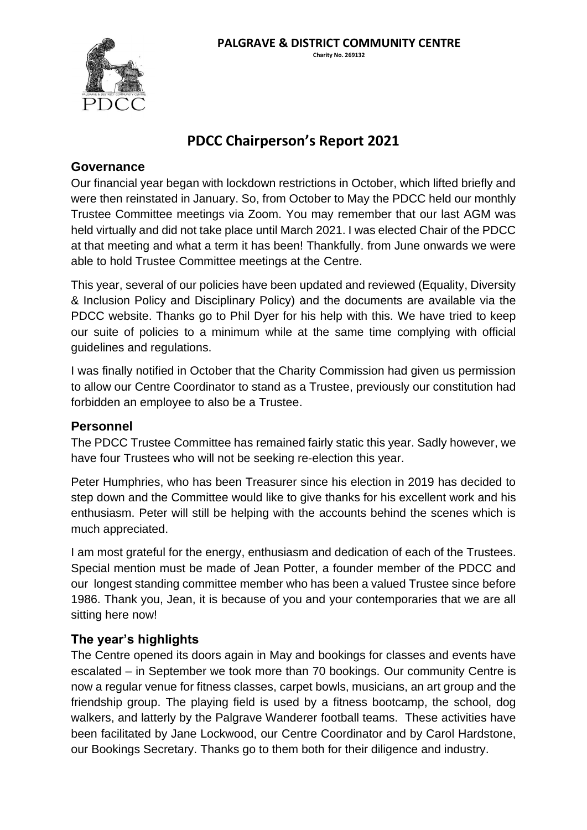

# **PDCC Chairperson's Report 2021**

#### **Governance**

Our financial year began with lockdown restrictions in October, which lifted briefly and were then reinstated in January. So, from October to May the PDCC held our monthly Trustee Committee meetings via Zoom. You may remember that our last AGM was held virtually and did not take place until March 2021. I was elected Chair of the PDCC at that meeting and what a term it has been! Thankfully. from June onwards we were able to hold Trustee Committee meetings at the Centre.

This year, several of our policies have been updated and reviewed (Equality, Diversity & Inclusion Policy and Disciplinary Policy) and the documents are available via the PDCC website. Thanks go to Phil Dyer for his help with this. We have tried to keep our suite of policies to a minimum while at the same time complying with official guidelines and regulations.

I was finally notified in October that the Charity Commission had given us permission to allow our Centre Coordinator to stand as a Trustee, previously our constitution had forbidden an employee to also be a Trustee.

## **Personnel**

The PDCC Trustee Committee has remained fairly static this year. Sadly however, we have four Trustees who will not be seeking re-election this year.

Peter Humphries, who has been Treasurer since his election in 2019 has decided to step down and the Committee would like to give thanks for his excellent work and his enthusiasm. Peter will still be helping with the accounts behind the scenes which is much appreciated.

I am most grateful for the energy, enthusiasm and dedication of each of the Trustees. Special mention must be made of Jean Potter, a founder member of the PDCC and our longest standing committee member who has been a valued Trustee since before 1986. Thank you, Jean, it is because of you and your contemporaries that we are all sitting here now!

## **The year's highlights**

The Centre opened its doors again in May and bookings for classes and events have escalated – in September we took more than 70 bookings. Our community Centre is now a regular venue for fitness classes, carpet bowls, musicians, an art group and the friendship group. The playing field is used by a fitness bootcamp, the school, dog walkers, and latterly by the Palgrave Wanderer football teams. These activities have been facilitated by Jane Lockwood, our Centre Coordinator and by Carol Hardstone, our Bookings Secretary. Thanks go to them both for their diligence and industry.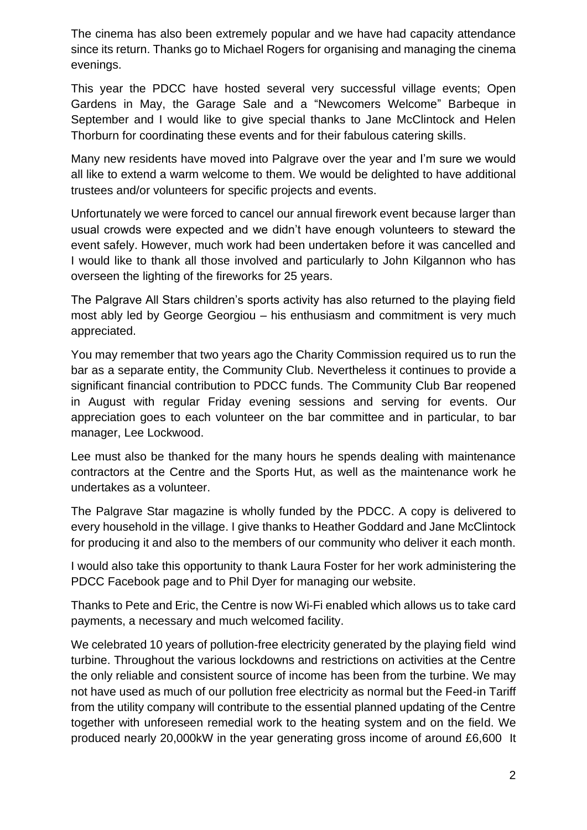The cinema has also been extremely popular and we have had capacity attendance since its return. Thanks go to Michael Rogers for organising and managing the cinema evenings.

This year the PDCC have hosted several very successful village events; Open Gardens in May, the Garage Sale and a "Newcomers Welcome" Barbeque in September and I would like to give special thanks to Jane McClintock and Helen Thorburn for coordinating these events and for their fabulous catering skills.

Many new residents have moved into Palgrave over the year and I'm sure we would all like to extend a warm welcome to them. We would be delighted to have additional trustees and/or volunteers for specific projects and events.

Unfortunately we were forced to cancel our annual firework event because larger than usual crowds were expected and we didn't have enough volunteers to steward the event safely. However, much work had been undertaken before it was cancelled and I would like to thank all those involved and particularly to John Kilgannon who has overseen the lighting of the fireworks for 25 years.

The Palgrave All Stars children's sports activity has also returned to the playing field most ably led by George Georgiou – his enthusiasm and commitment is very much appreciated.

You may remember that two years ago the Charity Commission required us to run the bar as a separate entity, the Community Club. Nevertheless it continues to provide a significant financial contribution to PDCC funds. The Community Club Bar reopened in August with regular Friday evening sessions and serving for events. Our appreciation goes to each volunteer on the bar committee and in particular, to bar manager, Lee Lockwood.

Lee must also be thanked for the many hours he spends dealing with maintenance contractors at the Centre and the Sports Hut, as well as the maintenance work he undertakes as a volunteer.

The Palgrave Star magazine is wholly funded by the PDCC. A copy is delivered to every household in the village. I give thanks to Heather Goddard and Jane McClintock for producing it and also to the members of our community who deliver it each month.

I would also take this opportunity to thank Laura Foster for her work administering the PDCC Facebook page and to Phil Dyer for managing our website.

Thanks to Pete and Eric, the Centre is now Wi-Fi enabled which allows us to take card payments, a necessary and much welcomed facility.

We celebrated 10 years of pollution-free electricity generated by the playing field wind turbine. Throughout the various lockdowns and restrictions on activities at the Centre the only reliable and consistent source of income has been from the turbine. We may not have used as much of our pollution free electricity as normal but the Feed-in Tariff from the utility company will contribute to the essential planned updating of the Centre together with unforeseen remedial work to the heating system and on the field. We produced nearly 20,000kW in the year generating gross income of around £6,600 It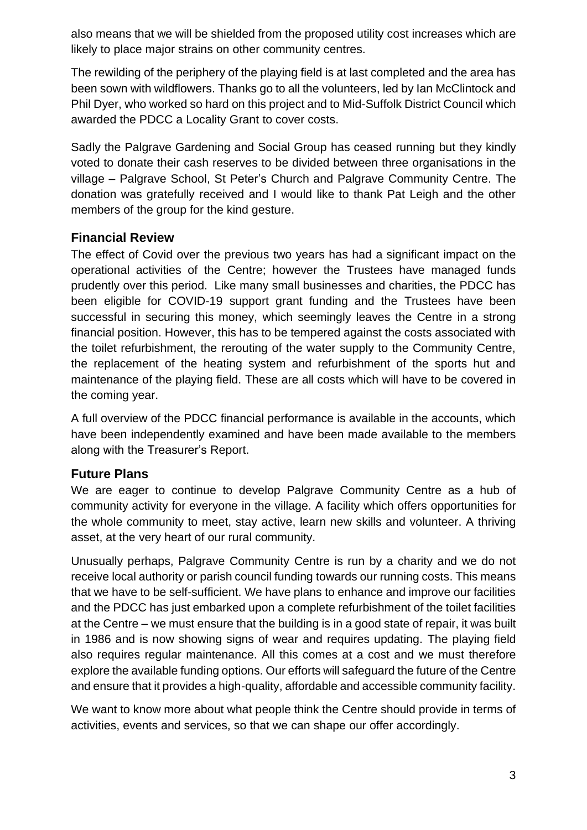also means that we will be shielded from the proposed utility cost increases which are likely to place major strains on other community centres.

The rewilding of the periphery of the playing field is at last completed and the area has been sown with wildflowers. Thanks go to all the volunteers, led by Ian McClintock and Phil Dyer, who worked so hard on this project and to Mid-Suffolk District Council which awarded the PDCC a Locality Grant to cover costs.

Sadly the Palgrave Gardening and Social Group has ceased running but they kindly voted to donate their cash reserves to be divided between three organisations in the village – Palgrave School, St Peter's Church and Palgrave Community Centre. The donation was gratefully received and I would like to thank Pat Leigh and the other members of the group for the kind gesture.

## **Financial Review**

The effect of Covid over the previous two years has had a significant impact on the operational activities of the Centre; however the Trustees have managed funds prudently over this period. Like many small businesses and charities, the PDCC has been eligible for COVID-19 support grant funding and the Trustees have been successful in securing this money, which seemingly leaves the Centre in a strong financial position. However, this has to be tempered against the costs associated with the toilet refurbishment, the rerouting of the water supply to the Community Centre, the replacement of the heating system and refurbishment of the sports hut and maintenance of the playing field. These are all costs which will have to be covered in the coming year.

A full overview of the PDCC financial performance is available in the accounts, which have been independently examined and have been made available to the members along with the Treasurer's Report.

## **Future Plans**

We are eager to continue to develop Palgrave Community Centre as a hub of community activity for everyone in the village. A facility which offers opportunities for the whole community to meet, stay active, learn new skills and volunteer. A thriving asset, at the very heart of our rural community.

Unusually perhaps, Palgrave Community Centre is run by a charity and we do not receive local authority or parish council funding towards our running costs. This means that we have to be self-sufficient. We have plans to enhance and improve our facilities and the PDCC has just embarked upon a complete refurbishment of the toilet facilities at the Centre – we must ensure that the building is in a good state of repair, it was built in 1986 and is now showing signs of wear and requires updating. The playing field also requires regular maintenance. All this comes at a cost and we must therefore explore the available funding options. Our efforts will safeguard the future of the Centre and ensure that it provides a high-quality, affordable and accessible community facility.

We want to know more about what people think the Centre should provide in terms of activities, events and services, so that we can shape our offer accordingly.